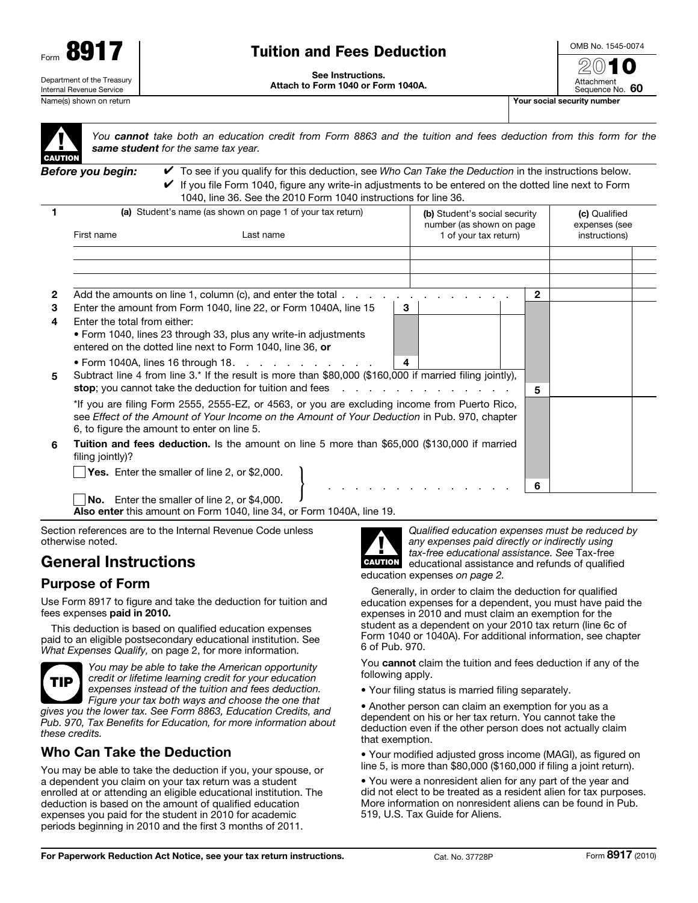

# Tuition and Fees Deduction

See Instructions. Attach to Form 1040 or Form 1040A.



Attachment Sequence No. 60

▲! **CAUTION** 

*You cannot take both an education credit from Form 8863 and the tuition and fees deduction from this form for the same student for the same tax year.*

*Before you begin:* ✔ To see if you qualify for this deduction, see *Who Can Take the Deduction* in the instructions below.  $\blacktriangleright$  If you file Form 1040, figure any write-in adjustments to be entered on the dotted line next to Form 1040, line 36. See the 2010 Form 1040 instructions for line 36.

|              | (a) Student's name (as shown on page 1 of your tax return)                                                                                                                                                                                                                                                                |                                                                                                                                                         |  |                       | (b) Student's social security<br>number (as shown on page) |  |               | (c) Qualified<br>expenses (see |
|--------------|---------------------------------------------------------------------------------------------------------------------------------------------------------------------------------------------------------------------------------------------------------------------------------------------------------------------------|---------------------------------------------------------------------------------------------------------------------------------------------------------|--|-----------------------|------------------------------------------------------------|--|---------------|--------------------------------|
|              | First name<br>Last name                                                                                                                                                                                                                                                                                                   |                                                                                                                                                         |  | 1 of your tax return) |                                                            |  | instructions) |                                |
|              |                                                                                                                                                                                                                                                                                                                           |                                                                                                                                                         |  |                       |                                                            |  |               |                                |
|              |                                                                                                                                                                                                                                                                                                                           |                                                                                                                                                         |  |                       |                                                            |  |               |                                |
| $\mathbf{2}$ | Add the amounts on line 1, column (c), and enter the total.                                                                                                                                                                                                                                                               |                                                                                                                                                         |  |                       |                                                            |  |               |                                |
| 3            |                                                                                                                                                                                                                                                                                                                           | Enter the amount from Form 1040, line 22, or Form 1040A, line 15                                                                                        |  | 3                     |                                                            |  |               |                                |
| 4            | Enter the total from either:                                                                                                                                                                                                                                                                                              |                                                                                                                                                         |  |                       |                                                            |  |               |                                |
|              |                                                                                                                                                                                                                                                                                                                           | • Form 1040, lines 23 through 33, plus any write-in adjustments<br>entered on the dotted line next to Form 1040, line 36, or                            |  |                       |                                                            |  |               |                                |
| 5            |                                                                                                                                                                                                                                                                                                                           | • Form 1040A, lines 16 through 18. $\ldots$<br>Subtract line 4 from line 3.* If the result is more than \$80,000 (\$160,000 if married filing jointly), |  | 4                     |                                                            |  |               |                                |
|              | <b>stop</b> ; you cannot take the deduction for tuition and fees $\ldots$<br>*If you are filing Form 2555, 2555-EZ, or 4563, or you are excluding income from Puerto Rico,<br>see Effect of the Amount of Your Income on the Amount of Your Deduction in Pub. 970, chapter<br>6, to figure the amount to enter on line 5. |                                                                                                                                                         |  |                       |                                                            |  | 5             |                                |
| 6            | <b>Tuition and fees deduction.</b> Is the amount on line 5 more than \$65,000 (\$130,000 if married<br>filing jointly)?                                                                                                                                                                                                   |                                                                                                                                                         |  |                       |                                                            |  |               |                                |
|              |                                                                                                                                                                                                                                                                                                                           | Yes. Enter the smaller of line 2, or \$2,000.                                                                                                           |  |                       |                                                            |  | 6             |                                |
|              |                                                                                                                                                                                                                                                                                                                           | No. Enter the smaller of line 2, or \$4,000.                                                                                                            |  |                       |                                                            |  |               |                                |

Also enter this amount on Form 1040, line 34, or Form 1040A, line 19.

Section references are to the Internal Revenue Code unless otherwise noted.

# General Instructions

## Purpose of Form

Use Form 8917 to figure and take the deduction for tuition and fees expenses paid in 2010.

This deduction is based on qualified education expenses paid to an eligible postsecondary educational institution. See *What Expenses Qualify,* on page 2, for more information.



*You may be able to take the American opportunity credit or lifetime learning credit for your education expenses instead of the tuition and fees deduction. Figure your tax both ways and choose the one that gives you the lower tax. See Form 8863, Education Credits, and* 

*Pub. 970, Tax Benefits for Education, for more information about these credits.*

## Who Can Take the Deduction

You may be able to take the deduction if you, your spouse, or a dependent you claim on your tax return was a student enrolled at or attending an eligible educational institution. The deduction is based on the amount of qualified education expenses you paid for the student in 2010 for academic periods beginning in 2010 and the first 3 months of 2011.



*Qualified education expenses must be reduced by any expenses paid directly or indirectly using tax-free educational assistance. See* Tax-free educational assistance and refunds of qualified education expenses *on page 2.*

Generally, in order to claim the deduction for qualified education expenses for a dependent, you must have paid the expenses in 2010 and must claim an exemption for the student as a dependent on your 2010 tax return (line 6c of Form 1040 or 1040A). For additional information, see chapter 6 of Pub. 970.

You cannot claim the tuition and fees deduction if any of the following apply.

• Your filing status is married filing separately.

• Another person can claim an exemption for you as a dependent on his or her tax return. You cannot take the deduction even if the other person does not actually claim that exemption.

• Your modified adjusted gross income (MAGI), as figured on line 5, is more than \$80,000 (\$160,000 if filing a joint return).

• You were a nonresident alien for any part of the year and did not elect to be treated as a resident alien for tax purposes. More information on nonresident aliens can be found in Pub. 519, U.S. Tax Guide for Aliens.